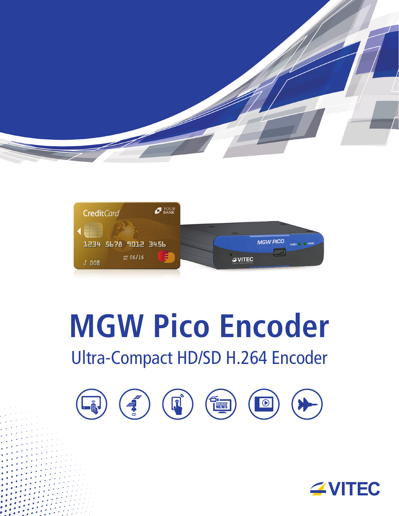



# **MGW Pico Encoder** Ultra-Compact HD/SD H.264 Encoder



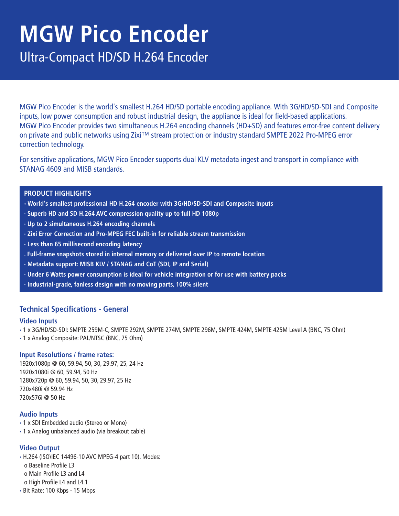# **MGW Pico Encoder**

Ultra-Compact HD/SD H.264 Encoder

MGW Pico Encoder is the world's smallest H.264 HD/SD portable encoding appliance. With 3G/HD/SD-SDI and Composite inputs, low power consumption and robust industrial design, the appliance is ideal for field-based applications. MGW Pico Encoder provides two simultaneous H.264 encoding channels (HD+SD) and features error-free content delivery on private and public networks using Zixi™ stream protection or industry standard SMPTE 2022 Pro-MPEG error correction technology.

For sensitive applications, MGW Pico Encoder supports dual KLV metadata ingest and transport in compliance with STANAG 4609 and MISB standards.

# **PRODUCT HIGHLIGHTS**

- **· World's smallest professional HD H.264 encoder with 3G/HD/SD-SDI and Composite inputs**
- **· Superb HD and SD H.264 AVC compression quality up to full HD 1080p**
- **· Up to 2 simultaneous H.264 encoding channels**
- **· Zixi Error Correction and Pro-MPEG FEC built-in for reliable stream transmission**
- **· Less than 65 millisecond encoding latency**
- **. Full-frame snapshots stored in internal memory or delivered over IP to remote location**
- **· Metadata support: MISB KLV / STANAG and CoT (SDI, IP and Serial)**
- **· Under 6 Watts power consumption is ideal for vehicle integration or for use with battery packs**
- **· Industrial-grade, fanless design with no moving parts, 100% silent**

# **Technical Specifications - General**

#### **Video Inputs**

- **·** 1 x 3G/HD/SD-SDI: SMPTE 259M-C, SMPTE 292M, SMPTE 274M, SMPTE 296M, SMPTE 424M, SMPTE 425M Level A (BNC, 75 Ohm)
- **·** 1 x Analog Composite: PAL/NTSC (BNC, 75 Ohm)

#### **Input Resolutions / frame rates:**

1920x1080p @ 60, 59.94, 50, 30, 29.97, 25, 24 Hz 1920x1080i @ 60, 59.94, 50 Hz 1280x720p @ 60, 59.94, 50, 30, 29.97, 25 Hz 720x480i @ 59.94 Hz 720x576i @ 50 Hz

#### **Audio Inputs**

- **·** 1 x SDI Embedded audio (Stereo or Mono)
- **·** 1 x Analog unbalanced audio (via breakout cable)

#### **Video Output**

- **·** H.264 (ISO\IEC 14496-10 AVC MPEG-4 part 10). Modes:
	- o Baseline Profile L3
	- o Main Profile L3 and L4
	- o High Profile L4 and L4.1
- **·** Bit Rate: 100 Kbps 15 Mbps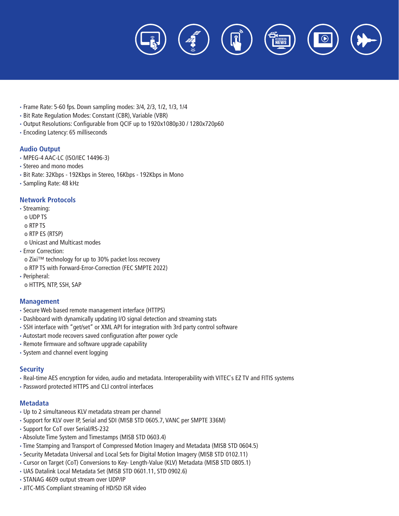

- **·** Frame Rate: 5-60 fps. Down sampling modes: 3/4, 2/3, 1/2, 1/3, 1/4
- **·** Bit Rate Regulation Modes: Constant (CBR), Variable (VBR)
- **·** Output Resolutions: Configurable from QCIF up to 1920x1080p30 / 1280x720p60
- **·** Encoding Latency: 65 milliseconds

#### **Audio Output**

- **·** MPEG-4 AAC-LC (ISO/IEC 14496-3)
- **·** Stereo and mono modes
- **·** Bit Rate: 32Kbps 192Kbps in Stereo, 16Kbps 192Kbps in Mono
- **·** Sampling Rate: 48 kHz

#### **Network Protocols**

**·** Streaming: o UDP TS o RTP TS o RTP ES (RTSP)

o Unicast and Multicast modes

- **·** Error Correction:
- o Zixi™ technology for up to 30% packet loss recovery
- o RTP TS with Forward-Error-Correction (FEC SMPTE 2022)
- **·** Peripheral:

o HTTPS, NTP, SSH, SAP

#### **Management**

- **·** Secure Web based remote management interface (HTTPS)
- **·** Dashboard with dynamically updating I/O signal detection and streaming stats
- **·** SSH interface with "get/set" or XML API for integration with 3rd party control software
- **·** Autostart mode recovers saved configuration after power cycle
- **·** Remote firmware and software upgrade capability
- **·** System and channel event logging

# **Security**

- **·** Real-time AES encryption for video, audio and metadata. Interoperability with VITEC`s EZ TV and FITIS systems
- **·** Password protected HTTPS and CLI control interfaces

#### **Metadata**

- **·** Up to 2 simultaneous KLV metadata stream per channel
- **·** Support for KLV over IP, Serial and SDI (MISB STD 0605.7, VANC per SMPTE 336M)
- **·** Support for CoT over Serial/RS-232
- **·** Absolute Time System and Timestamps (MISB STD 0603.4)
- **·** Time Stamping and Transport of Compressed Motion Imagery and Metadata (MISB STD 0604.5)
- **·** Security Metadata Universal and Local Sets for Digital Motion Imagery (MISB STD 0102.11)
- **·** Cursor on Target (CoT) Conversions to Key- Length-Value (KLV) Metadata (MISB STD 0805.1)
- **·** UAS Datalink Local Metadata Set (MISB STD 0601.11, STD 0902.6)
- **·** STANAG 4609 output stream over UDP/IP
- **·** JITC-MIS Compliant streaming of HD/SD ISR video